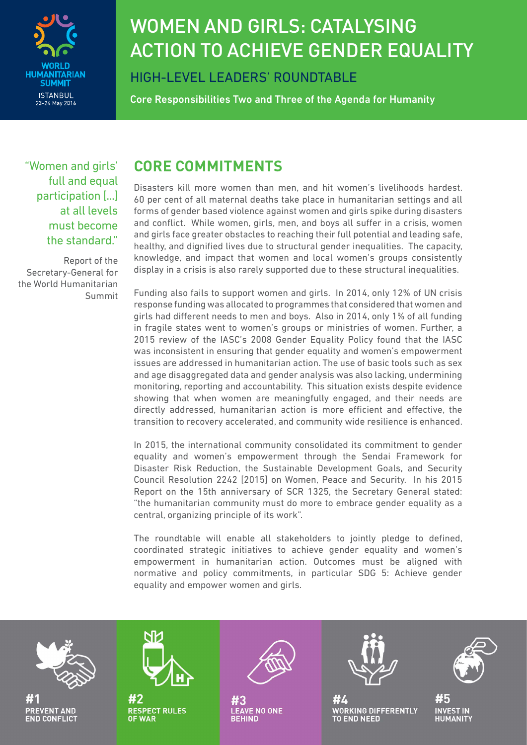

# WOMEN AND GIRLS: CATALYSING ACTION TO ACHIEVE GENDER EQUALITY

HIGH-LEVEL LEADERS' ROUNDTABLE

Core Responsibilities Two and Three of the Agenda for Humanity

"Women and girls' full and equal participation [...] at all levels must become the standard."

Report of the Secretary-General for the World Humanitarian Summit

### **CORE COMMITMENTS**

Disasters kill more women than men, and hit women's livelihoods hardest. 60 per cent of all maternal deaths take place in humanitarian settings and all forms of gender based violence against women and girls spike during disasters and conflict. While women, girls, men, and boys all suffer in a crisis, women and girls face greater obstacles to reaching their full potential and leading safe, healthy, and dignified lives due to structural gender inequalities. The capacity, knowledge, and impact that women and local women's groups consistently display in a crisis is also rarely supported due to these structural inequalities.

Funding also fails to support women and girls. In 2014, only 12% of UN crisis response funding was allocated to programmes that considered that women and girls had different needs to men and boys. Also in 2014, only 1% of all funding in fragile states went to women's groups or ministries of women. Further, a 2015 review of the IASC's 2008 Gender Equality Policy found that the IASC was inconsistent in ensuring that gender equality and women's empowerment issues are addressed in humanitarian action. The use of basic tools such as sex and age disaggregated data and gender analysis was also lacking, undermining monitoring, reporting and accountability. This situation exists despite evidence showing that when women are meaningfully engaged, and their needs are directly addressed, humanitarian action is more efficient and effective, the transition to recovery accelerated, and community wide resilience is enhanced.

In 2015, the international community consolidated its commitment to gender equality and women's empowerment through the Sendai Framework for Disaster Risk Reduction, the Sustainable Development Goals, and Security Council Resolution 2242 [2015] on Women, Peace and Security. In his 2015 Report on the 15th anniversary of SCR 1325, the Secretary General stated: "the humanitarian community must do more to embrace gender equality as a central, organizing principle of its work".

The roundtable will enable all stakeholders to jointly pledge to defined, coordinated strategic initiatives to achieve gender equality and women's empowerment in humanitarian action. Outcomes must be aligned with normative and policy commitments, in particular SDG 5: Achieve gender equality and empower women and girls.

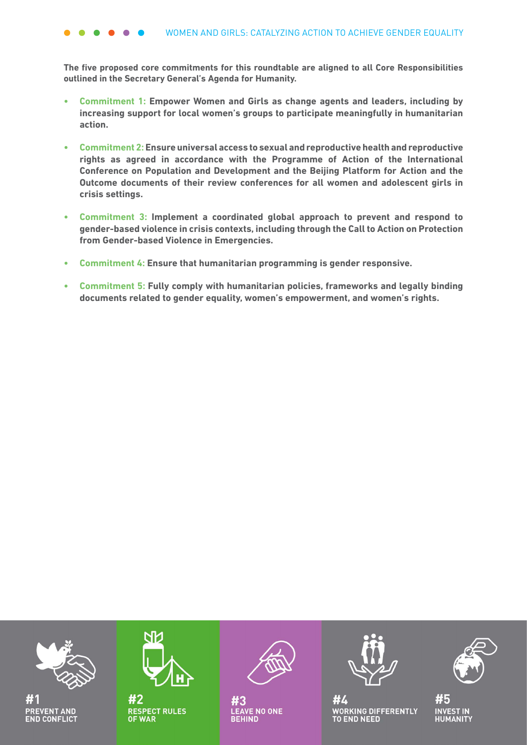**The five proposed core commitments for this roundtable are aligned to all Core Responsibilities outlined in the Secretary General's Agenda for Humanity.**

- **• Commitment 1: Empower Women and Girls as change agents and leaders, including by increasing support for local women's groups to participate meaningfully in humanitarian action.**
- **• Commitment 2: Ensure universal access to sexual and reproductive health and reproductive rights as agreed in accordance with the Programme of Action of the International Conference on Population and Development and the Beijing Platform for Action and the Outcome documents of their review conferences for all women and adolescent girls in crisis settings.**
- **• Commitment 3: Implement a coordinated global approach to prevent and respond to gender-based violence in crisis contexts, including through the Call to Action on Protection from Gender-based Violence in Emergencies.**
- **• Commitment 4: Ensure that humanitarian programming is gender responsive.**
- **• Commitment 5: Fully comply with humanitarian policies, frameworks and legally binding documents related to gender equality, women's empowerment, and women's rights.**

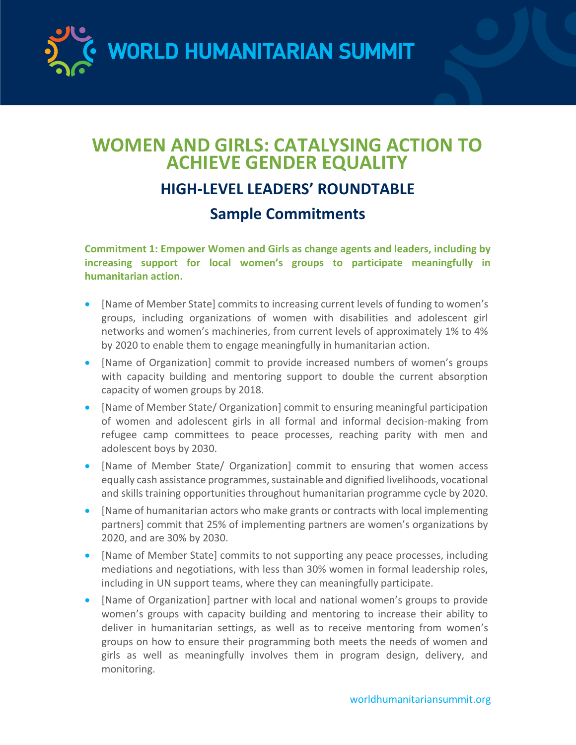WORLD HUMANITARIAN SUMMIT

## **WOMEN AND GIRLS: CATALYSING ACTION TO ACHIEVE GENDER EQUALITY HIGH-LEVEL LEADERS' ROUNDTABLE Sample Commitments**

**Commitment 1: Empower Women and Girls as change agents and leaders, including by increasing support for local women's groups to participate meaningfully in humanitarian action.** 

- [Name of Member State] commits to increasing current levels of funding to women's groups, including organizations of women with disabilities and adolescent girl networks and women's machineries, from current levels of approximately 1% to 4% by 2020 to enable them to engage meaningfully in humanitarian action.
- [Name of Organization] commit to provide increased numbers of women's groups with capacity building and mentoring support to double the current absorption capacity of women groups by 2018.
- [Name of Member State/ Organization] commit to ensuring meaningful participation of women and adolescent girls in all formal and informal decision-making from refugee camp committees to peace processes, reaching parity with men and adolescent boys by 2030.
- [Name of Member State/ Organization] commit to ensuring that women access equally cash assistance programmes, sustainable and dignified livelihoods, vocational and skills training opportunities throughout humanitarian programme cycle by 2020.
- [Name of humanitarian actors who make grants or contracts with local implementing partners] commit that 25% of implementing partners are women's organizations by 2020, and are 30% by 2030.
- [Name of Member State] commits to not supporting any peace processes, including mediations and negotiations, with less than 30% women in formal leadership roles, including in UN support teams, where they can meaningfully participate.
- [Name of Organization] partner with local and national women's groups to provide women's groups with capacity building and mentoring to increase their ability to deliver in humanitarian settings, as well as to receive mentoring from women's groups on how to ensure their programming both meets the needs of women and girls as well as meaningfully involves them in program design, delivery, and monitoring.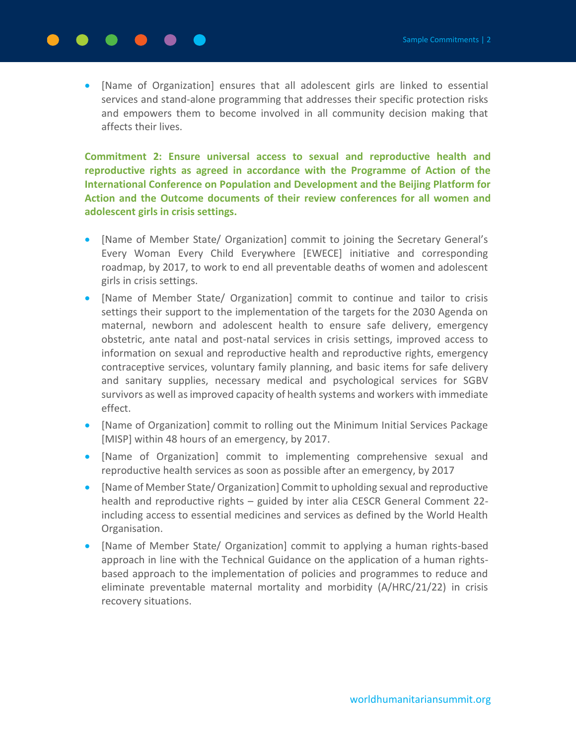### [Name of Organization] ensures that all adolescent girls are linked to essential services and stand-alone programming that addresses their specific protection risks and empowers them to become involved in all community decision making that affects their lives.

**Commitment 2: Ensure universal access to sexual and reproductive health and reproductive rights as agreed in accordance with the Programme of Action of the International Conference on Population and Development and the Beijing Platform for Action and the Outcome documents of their review conferences for all women and adolescent girls in crisis settings.** 

- [Name of Member State/ Organization] commit to joining the Secretary General's Every Woman Every Child Everywhere [EWECE] initiative and corresponding roadmap, by 2017, to work to end all preventable deaths of women and adolescent girls in crisis settings.
- [Name of Member State/ Organization] commit to continue and tailor to crisis settings their support to the implementation of the targets for the 2030 Agenda on maternal, newborn and adolescent health to ensure safe delivery, emergency obstetric, ante natal and post-natal services in crisis settings, improved access to information on sexual and reproductive health and reproductive rights, emergency contraceptive services, voluntary family planning, and basic items for safe delivery and sanitary supplies, necessary medical and psychological services for SGBV survivors as well as improved capacity of health systems and workers with immediate effect.
- [Name of Organization] commit to rolling out the Minimum Initial Services Package [MISP] within 48 hours of an emergency, by 2017.
- [Name of Organization] commit to implementing comprehensive sexual and reproductive health services as soon as possible after an emergency, by 2017
- [Name of Member State/ Organization] Commit to upholding sexual and reproductive health and reproductive rights – guided by inter alia CESCR General Comment 22 including access to essential medicines and services as defined by the World Health Organisation.
- [Name of Member State/ Organization] commit to applying a human rights-based approach in line with the Technical Guidance on the application of a human rightsbased approach to the implementation of policies and programmes to reduce and eliminate preventable maternal mortality and morbidity (A/HRC/21/22) in crisis recovery situations.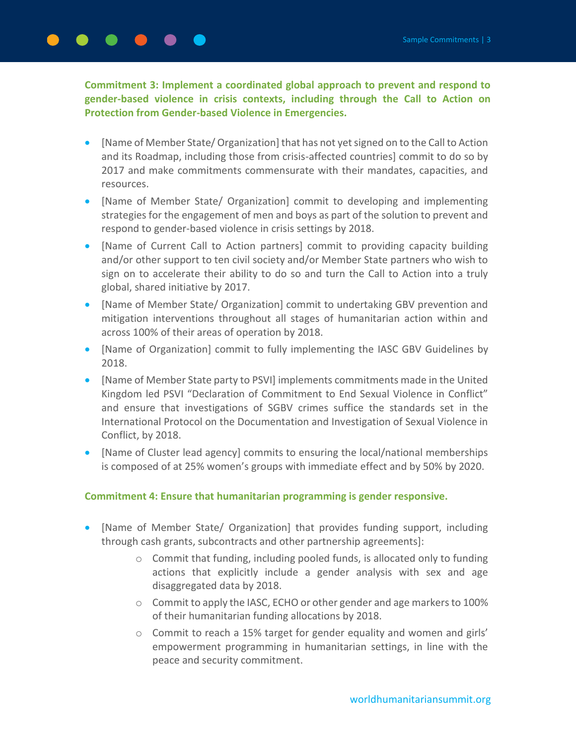**Commitment 3: Implement a coordinated global approach to prevent and respond to gender-based violence in crisis contexts, including through the Call to Action on Protection from Gender-based Violence in Emergencies.** 

- [Name of Member State/ Organization] that has not yet signed on to the Call to Action and its Roadmap, including those from crisis-affected countries] commit to do so by 2017 and make commitments commensurate with their mandates, capacities, and resources.
- [Name of Member State/ Organization] commit to developing and implementing strategies for the engagement of men and boys as part of the solution to prevent and respond to gender-based violence in crisis settings by 2018.
- [Name of Current Call to Action partners] commit to providing capacity building and/or other support to ten civil society and/or Member State partners who wish to sign on to accelerate their ability to do so and turn the Call to Action into a truly global, shared initiative by 2017.
- [Name of Member State/ Organization] commit to undertaking GBV prevention and mitigation interventions throughout all stages of humanitarian action within and across 100% of their areas of operation by 2018.
- [Name of Organization] commit to fully implementing the IASC GBV Guidelines by 2018.
- [Name of Member State party to PSVI] implements commitments made in the United Kingdom led PSVI "Declaration of Commitment to End Sexual Violence in Conflict" and ensure that investigations of SGBV crimes suffice the standards set in the International Protocol on the Documentation and Investigation of Sexual Violence in Conflict, by 2018.
- [Name of Cluster lead agency] commits to ensuring the local/national memberships is composed of at 25% women's groups with immediate effect and by 50% by 2020.

#### **Commitment 4: Ensure that humanitarian programming is gender responsive.**

- [Name of Member State/ Organization] that provides funding support, including through cash grants, subcontracts and other partnership agreements]:
	- o Commit that funding, including pooled funds, is allocated only to funding actions that explicitly include a gender analysis with sex and age disaggregated data by 2018.
	- $\circ$  Commit to apply the IASC, ECHO or other gender and age markers to 100% of their humanitarian funding allocations by 2018.
	- $\circ$  Commit to reach a 15% target for gender equality and women and girls' empowerment programming in humanitarian settings, in line with the peace and security commitment.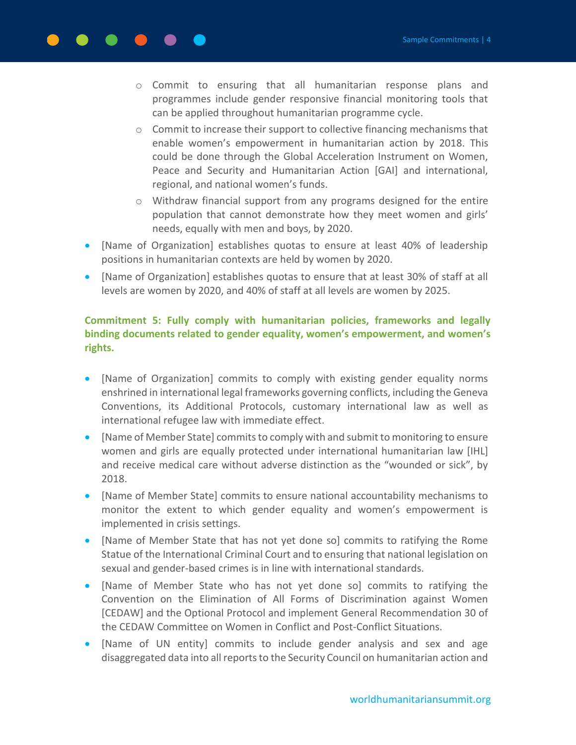- o Commit to ensuring that all humanitarian response plans and programmes include gender responsive financial monitoring tools that can be applied throughout humanitarian programme cycle.
- $\circ$  Commit to increase their support to collective financing mechanisms that enable women's empowerment in humanitarian action by 2018. This could be done through the Global Acceleration Instrument on Women, Peace and Security and Humanitarian Action [GAI] and international, regional, and national women's funds.
- $\circ$  Withdraw financial support from any programs designed for the entire population that cannot demonstrate how they meet women and girls' needs, equally with men and boys, by 2020.
- [Name of Organization] establishes quotas to ensure at least 40% of leadership positions in humanitarian contexts are held by women by 2020.
- [Name of Organization] establishes quotas to ensure that at least 30% of staff at all levels are women by 2020, and 40% of staff at all levels are women by 2025.

#### **Commitment 5: Fully comply with humanitarian policies, frameworks and legally binding documents related to gender equality, women's empowerment, and women's rights.**

- [Name of Organization] commits to comply with existing gender equality norms enshrined in international legal frameworks governing conflicts, including the Geneva Conventions, its Additional Protocols, customary international law as well as international refugee law with immediate effect.
- [Name of Member State] commits to comply with and submit to monitoring to ensure women and girls are equally protected under international humanitarian law [IHL] and receive medical care without adverse distinction as the "wounded or sick", by 2018.
- [Name of Member State] commits to ensure national accountability mechanisms to monitor the extent to which gender equality and women's empowerment is implemented in crisis settings.
- [Name of Member State that has not yet done so] commits to ratifying the Rome Statue of the International Criminal Court and to ensuring that national legislation on sexual and gender-based crimes is in line with international standards.
- [Name of Member State who has not yet done so] commits to ratifying the Convention on the Elimination of All Forms of Discrimination against Women [CEDAW] and the Optional Protocol and implement General Recommendation 30 of the CEDAW Committee on Women in Conflict and Post-Conflict Situations.
- [Name of UN entity] commits to include gender analysis and sex and age disaggregated data into all reports to the Security Council on humanitarian action and